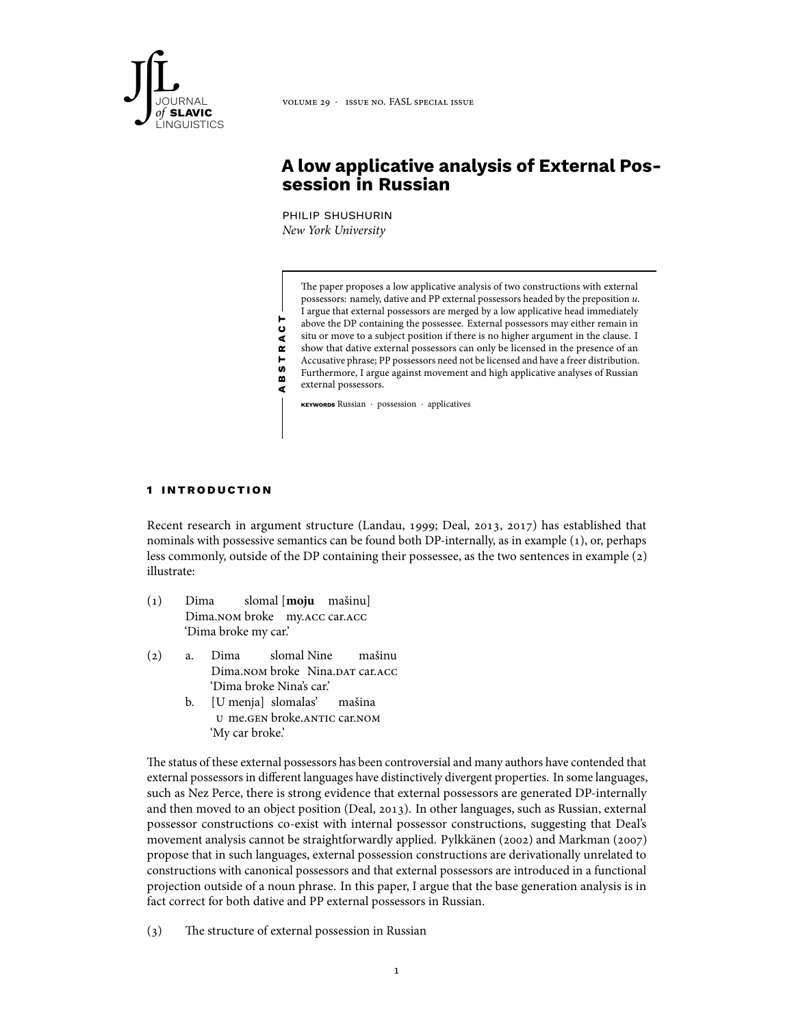

# **A low applicative analysis of External Possession in Russian**

philip shushurin New York University

The paper proposes a low applicative analysis of two constructions with external possessors: namely, dative and PP external possessors headed by the preposition u. I argue that external possessors are merged by a low applicative head immediately above the DP containing the possessee. External possessors may either remain in situ or move to a subject position if there is no higher argument in the clause. I show that dative external possessors can only be licensed in the presence of an Accusative phrase; PP possessors need not be licensed and have a freer distribution. Furthermore, I argue against movement and high applicative analyses of Russian external possessors.

**keywords** Russian ⋅ possession ⋅ applicatives

### **1 in t rodu c t ion**

Recent research in argument structure (Landau, 1999; Deal, 2013, 2017) has established that nominals with possessive semantics can be found both DP-internally, as in example (1), or, perhaps less commonly, outside of the DP containing their possessee, as the two sentences in example (2) illustrate:

- (1) Dima Dima.nom broke my.acc car.acc slomal [**moju** mašinu] 'Dima broke my car.'
- (2) a. Dima Dima.nom broke Nina.dar car.acc slomal Nine mašinu 'Dima broke Nina's car.'

**a b s t r a c t**

b. [U menja] slomalas' u me.gen broke.antic car.nom mašina 'My car broke.'

The status of these external possessors has been controversial and many authors have contended that external possessors in different languages have distinctively divergent properties. In some languages, such as Nez Perce, there is strong evidence that external possessors are generated DP-internally and then moved to an object position (Deal, 2013). In other languages, such as Russian, external possessor constructions co-exist with internal possessor constructions, suggesting that Deal's movement analysis cannot be straightforwardly applied. Pylkkänen (2002) and Markman (2007) propose that in such languages, external possession constructions are derivationally unrelated to constructions with canonical possessors and that external possessors are introduced in a functional projection outside of a noun phrase. In this paper, I argue that the base generation analysis is in fact correct for both dative and PP external possessors in Russian.

(3) The structure of external possession in Russian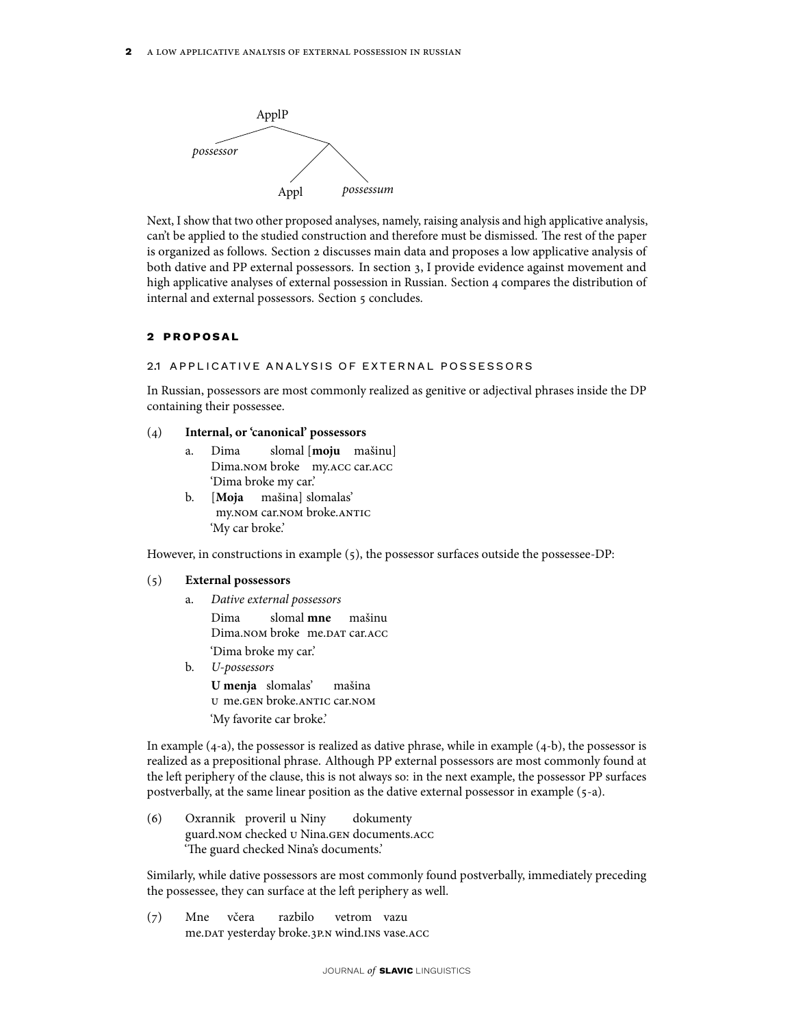

Next, I show that two other proposed analyses, namely, raising analysis and high applicative analysis, can't be applied to the studied construction and therefore must be dismissed. The rest of the paper is organized as follows. Section 2 discusses main data and proposes a low applicative analysis of both dative and PP external possessors. In section 3, I provide evidence against movement and high applicative analyses of external possession in Russian. Section 4 compares the distribution of internal and external possessors. Section 5 concludes.

### **2 p ro po s a l**

### 2.1 APPLICATIVE ANALYSIS OF EXTERNAL POSSESSORS

In Russian, possessors are most commonly realized as genitive or adjectival phrases inside the DP containing their possessee.

### (4) **Internal, or 'canonical' possessors**

- a. Dima Dima.nom broke my.acc car.acc slomal [**moju** mašinu] 'Dima broke my car.'
- b. [**Moja** my.nom car.nom broke.antic mašina] slomalas' 'My car broke.'

However, in constructions in example (5), the possessor surfaces outside the possessee-DP:

### (5) **External possessors**

- a. Dative external possessors Dima Dima.nom broke me.dat car.acc slomal **mne** mašinu 'Dima broke my car.'
- b. U-possessors **U menja** slomalas' u me.gen broke.antic car.nom mašina 'My favorite car broke.'

In example (4-a), the possessor is realized as dative phrase, while in example (4-b), the possessor is realized as a prepositional phrase. Although PP external possessors are most commonly found at the left periphery of the clause, this is not always so: in the next example, the possessor PP surfaces postverbally, at the same linear position as the dative external possessor in example (5-a).

(6) Oxrannik proveril u Niny guard.nom checked u Nina.gen documents.acc dokumenty 'The guard checked Nina's documents.'

Similarly, while dative possessors are most commonly found postverbally, immediately preceding the possessee, they can surface at the left periphery as well.

(7) Mne me.dat yesterday broke.3p.n wind.ins vase.acc včera razbilo vetrom vazu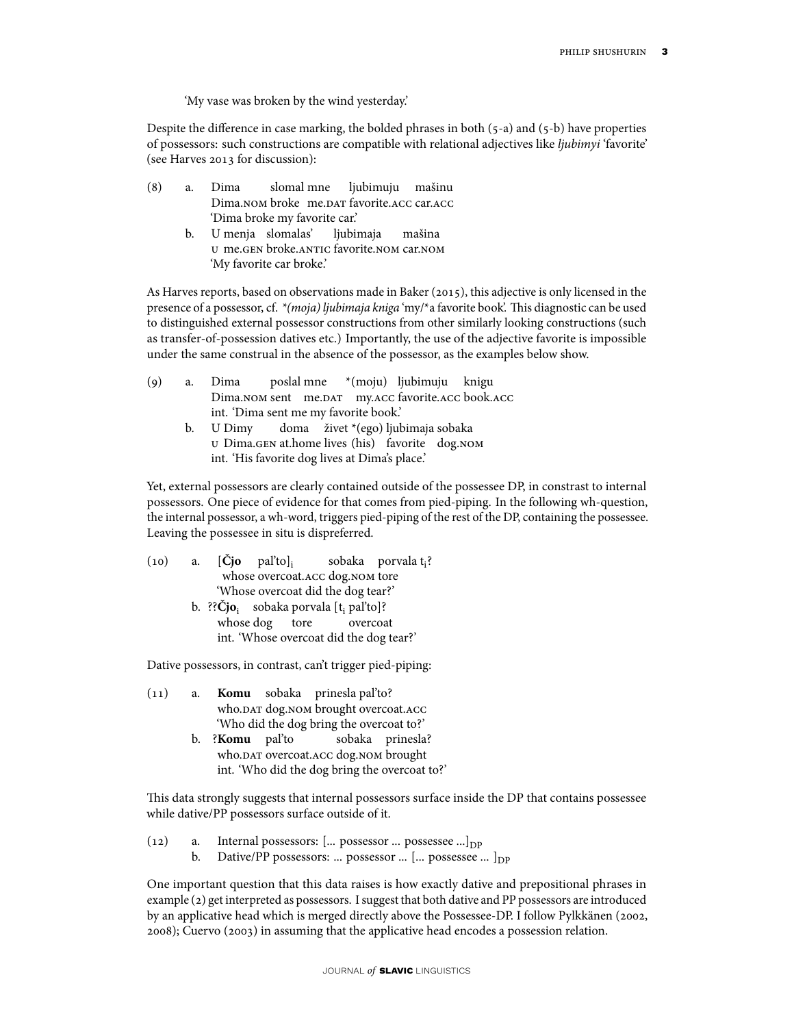'My vase was broken by the wind yesterday.'

Despite the difference in case marking, the bolded phrases in both (5-a) and (5-b) have properties of possessors: such constructions are compatible with relational adjectives like ljubimyi 'favorite' (see Harves 2013 for discussion):

- (8) a. Dima Dima.nom broke) me.dar favorite.acc car.acc slomal mne ljubimuju mašinu 'Dima broke my favorite car.'
	- b. U menja slomalas' u me.gen broke.antic favorite.nom car.nom ljubimaja mašina 'My favorite car broke.'

As Harves reports, based on observations made in Baker (2015), this adjective is only licensed in the presence of a possessor, cf. \*(moja) ljubimaja kniga 'my/\*a favorite book'. This diagnostic can be used to distinguished external possessor constructions from other similarly looking constructions (such as transfer-of-possession datives etc.) Importantly, the use of the adjective favorite is impossible under the same construal in the absence of the possessor, as the examples below show.

| a. |                                                                                                   |      |  |  |                                                                                                                                      |  |
|----|---------------------------------------------------------------------------------------------------|------|--|--|--------------------------------------------------------------------------------------------------------------------------------------|--|
|    |                                                                                                   |      |  |  |                                                                                                                                      |  |
|    | int. 'Dima sent me my favorite book.'                                                             |      |  |  |                                                                                                                                      |  |
| b. |                                                                                                   |      |  |  |                                                                                                                                      |  |
|    | U Dima.GEN at.home lives (his) favorite dog.NOM<br>int. 'His favorite dog lives at Dima's place.' |      |  |  |                                                                                                                                      |  |
|    |                                                                                                   | Dima |  |  | poslal mne *(moju) ljubimuju knigu<br>Dima.NOM sent me.DAT my.ACC favorite.ACC book.ACC<br>U Dimy doma živet *(ego) ljubimaja sobaka |  |

Yet, external possessors are clearly contained outside of the possessee DP, in constrast to internal possessors. One piece of evidence for that comes from pied-piping. In the following wh-question, the internal possessor, a wh-word, triggers pied-piping of the rest of the DP, containing the possessee. Leaving the possessee in situ is dispreferred.

|                                         |                                    |  |  |                                                               | (10) a. $[\check{C}$ jo pal'to], sobaka porvala t <sub>i</sub> ? |  |  |
|-----------------------------------------|------------------------------------|--|--|---------------------------------------------------------------|------------------------------------------------------------------|--|--|
| whose overcoat.ACC dog.NOM tore         |                                    |  |  |                                                               |                                                                  |  |  |
|                                         | 'Whose overcoat did the dog tear?' |  |  |                                                               |                                                                  |  |  |
|                                         |                                    |  |  | b. ?? $\check{C}$ jo; sobaka porvala [t <sub>i</sub> pal'to]? |                                                                  |  |  |
|                                         |                                    |  |  | whose dog tore overcoat                                       |                                                                  |  |  |
| int. 'Whose overcoat did the dog tear?' |                                    |  |  |                                                               |                                                                  |  |  |

Dative possessors, in contrast, can't trigger pied-piping:

- (11) a. **Komu** sobaka prinesla pal'to? who.<code>DAT</code> dog.nom brought overcoat.<code>ACC</code> 'Who did the dog bring the overcoat to?'
	- b. ?**Komu** pal'to who.<code>DAT</code> overcoat.ACC dog.nom brought sobaka prinesla? int. 'Who did the dog bring the overcoat to?'

This data strongly suggests that internal possessors surface inside the DP that contains possessee while dative/PP possessors surface outside of it.

- (12) a. Internal possessors: [... possessor ... possessee ...]<sub>DP</sub><br>b. Dative/PP possessors: ... possessor ... [... possessee
	- Dative/PP possessors: ... possessor ... [... possessee ... ] $_{\text{DP}}$

One important question that this data raises is how exactly dative and prepositional phrases in example (2) get interpreted as possessors. I suggest that both dative and PP possessors are introduced by an applicative head which is merged directly above the Possessee-DP. I follow Pylkkänen (2002, 2008); Cuervo (2003) in assuming that the applicative head encodes a possession relation.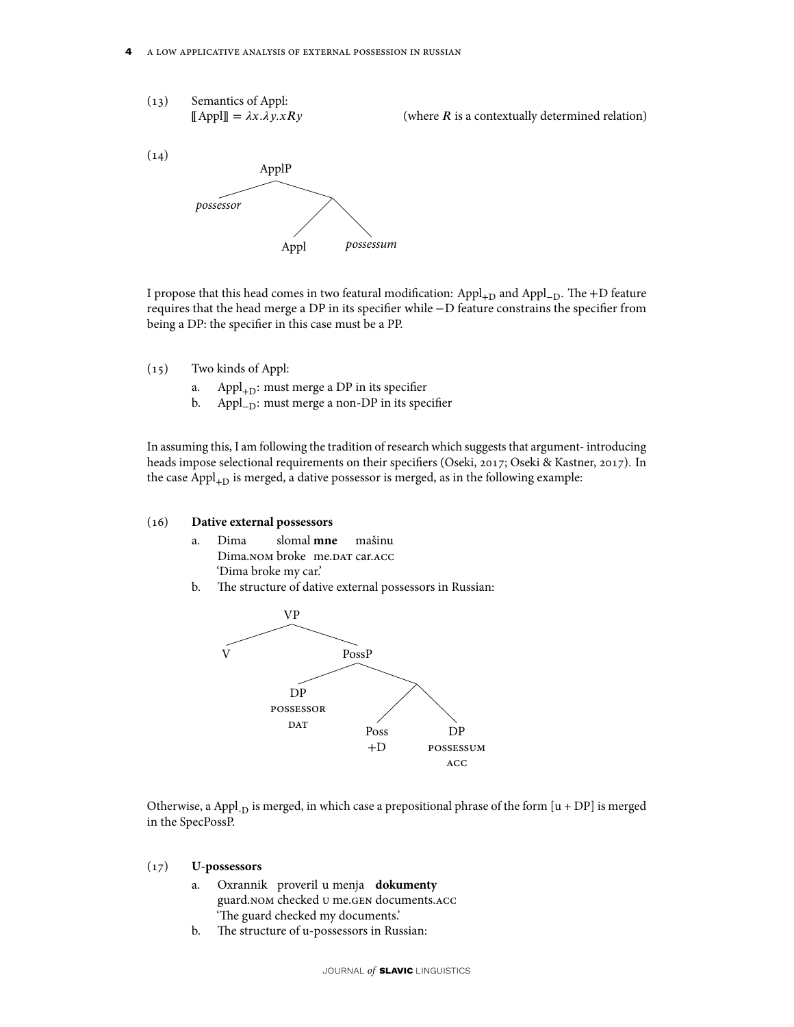(13) Semantics of Appl:  

$$
[\![ \text{Appl} ]\!] = \lambda x. \lambda y. x R y
$$

(where  $R$  is a contextually determined relation)



I propose that this head comes in two featural modification: Appl+<sup>D</sup> and Appl−D. The +D feature requires that the head merge a DP in its specifier while −D feature constrains the specifier from being a DP: the specifier in this case must be a PP.

- (15) Two kinds of Appl:
	- a. Appl $_{+D}$ : must merge a DP in its specifier
	- b. Appl<sub>−D</sub>: must merge a non-DP in its specifier

In assuming this, I am following the tradition of research which suggests that argument- introducing heads impose selectional requirements on their specifiers (Oseki, 2017; Oseki & Kastner, 2017). In the case  $Appl<sub>+D</sub>$  is merged, a dative possessor is merged, as in the following example:

#### (16) **Dative external possessors**

- a. Dima Dima.nom broke) me.dat car.acc slomal **mne** mašinu 'Dima broke my car.'
- b. The structure of dative external possessors in Russian:



Otherwise, a Appl<sub>-D</sub> is merged, in which case a prepositional phrase of the form  $[u + DP]$  is merged in the SpecPossP.

### (17) **U-possessors**

- a. Oxrannik proveril u menja **dokumenty** guard.nom checked u me.gen documents.acc 'The guard checked my documents.'
- b. The structure of u-possessors in Russian: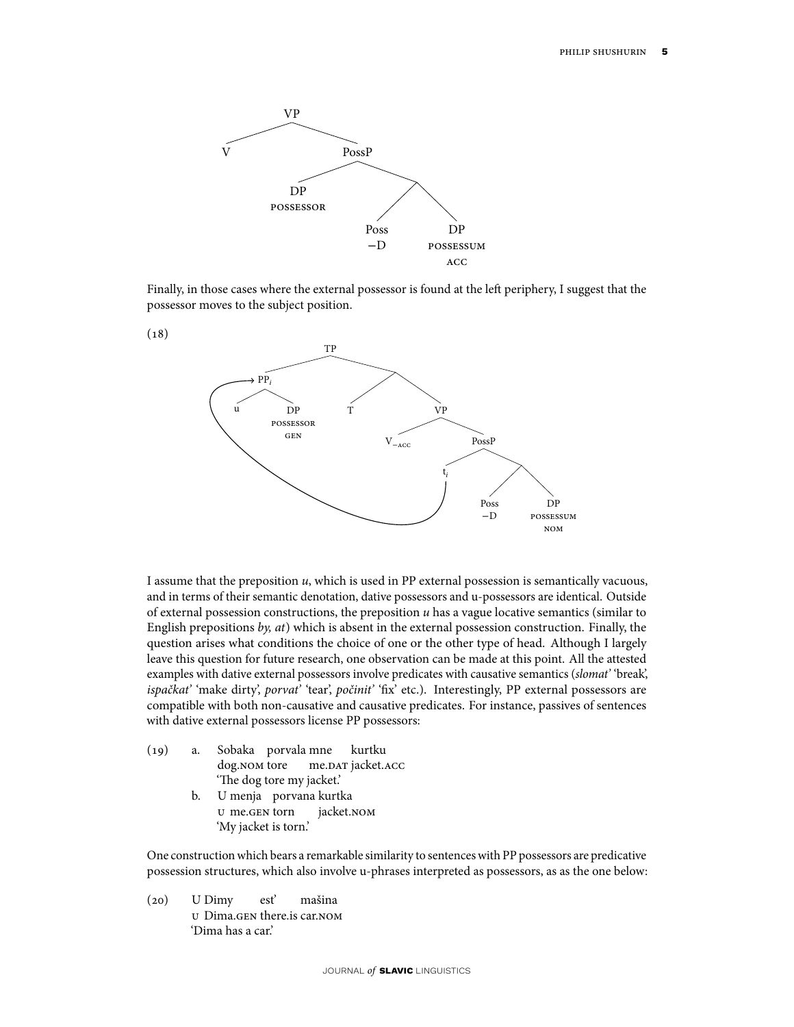

Finally, in those cases where the external possessor is found at the left periphery, I suggest that the possessor moves to the subject position.



I assume that the preposition  $u$ , which is used in PP external possession is semantically vacuous, and in terms of their semantic denotation, dative possessors and u-possessors are identical. Outside of external possession constructions, the preposition  $u$  has a vague locative semantics (similar to English prepositions by, at) which is absent in the external possession construction. Finally, the question arises what conditions the choice of one or the other type of head. Although I largely leave this question for future research, one observation can be made at this point. All the attested examples with dative external possessors involve predicates with causative semantics (slomat' 'break', ispačkat' 'make dirty', porvat' 'tear', počinit' 'fix' etc.). Interestingly, PP external possessors are compatible with both non-causative and causative predicates. For instance, passives of sentences with dative external possessors license PP possessors:

- (19) a. Sobaka porvala mne dog.nom tore me.dat jacket.acc kurtku 'The dog tore my jacket.'
	- b. U menja porvana kurtka u me.gen torn jacket.nom 'My jacket is torn.'

One construction which bears a remarkable similarity to sentences with PP possessors are predicative possession structures, which also involve u-phrases interpreted as possessors, as as the one below:

 $(20)$ u Dima.gen there.is car.nom U Dimy est' mašina 'Dima has a car.'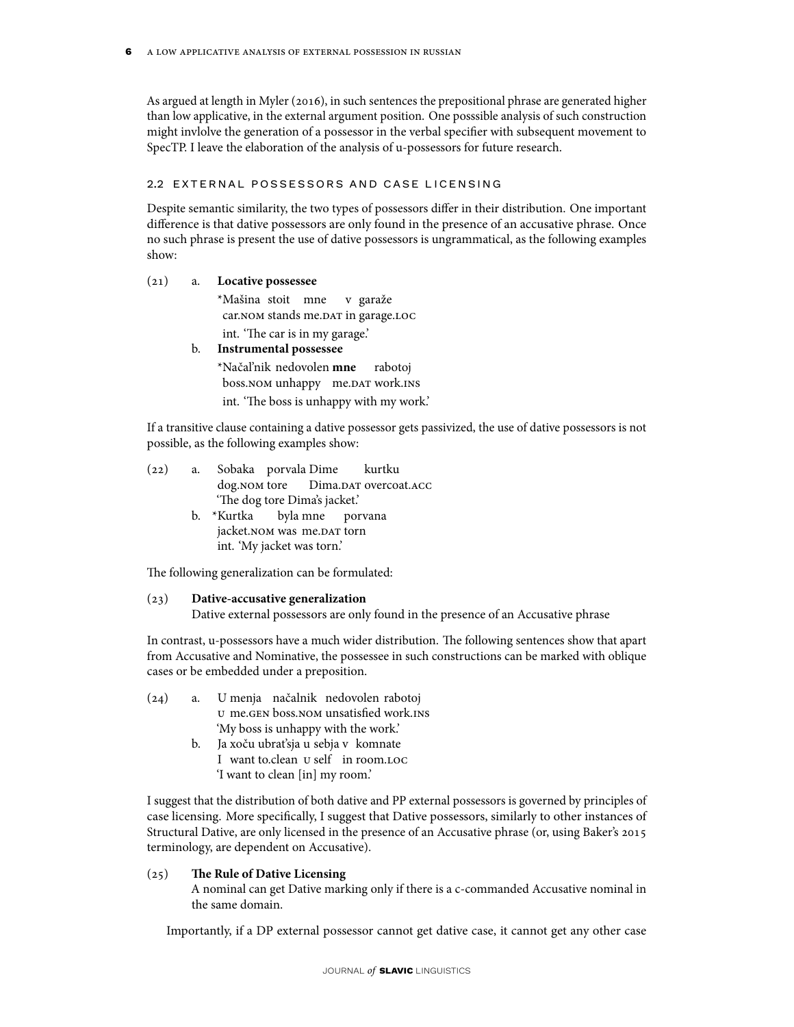As argued at length in Myler (2016), in such sentences the prepositional phrase are generated higher than low applicative, in the external argument position. One posssible analysis of such construction might invlolve the generation of a possessor in the verbal specifier with subsequent movement to SpecTP. I leave the elaboration of the analysis of u-possessors for future research.

### 2.2 EXTERNAL POSSESSORS AND CASE LICENSING

Despite semantic similarity, the two types of possessors differ in their distribution. One important difference is that dative possessors are only found in the presence of an accusative phrase. Once no such phrase is present the use of dative possessors is ungrammatical, as the following examples show:

### (21) a. **Locative possessee**

\*Mašina stoit mne car.NOM stands me.DAT in garage.LOC v garaže int. 'The car is in my garage.'

# b. **Instrumental possessee**

\*Načal'nik nedovolen **mne** boss.nom unhappy) me.dat work.ins rabotoj int. 'The boss is unhappy with my work.'

If a transitive clause containing a dative possessor gets passivized, the use of dative possessors is not possible, as the following examples show:

- (22) a. Sobaka porvala Dime dog.nom tore Dima.DAT overcoat.ACC kurtku 'The dog tore Dima's jacket.'
	- b. \*Kurtka jacket.nom was me.dar torn byla mne porvana int. 'My jacket was torn.'

The following generalization can be formulated:

# (23) **Dative-accusative generalization**

Dative external possessors are only found in the presence of an Accusative phrase

In contrast, u-possessors have a much wider distribution. The following sentences show that apart from Accusative and Nominative, the possessee in such constructions can be marked with oblique cases or be embedded under a preposition.

- $(24)$  a. u me.gen boss.nom unsatisfied work.ins menja načalnik nedovolen rabotoj 'My boss is unhappy with the work.'
	- b. Ja xoču ubrat'sja u sebja v komnate I want to.clean u self in room.loc 'I want to clean [in] my room.'

I suggest that the distribution of both dative and PP external possessors is governed by principles of case licensing. More specifically, I suggest that Dative possessors, similarly to other instances of Structural Dative, are only licensed in the presence of an Accusative phrase (or, using Baker's 2015 terminology, are dependent on Accusative).

# (25) **The Rule of Dative Licensing**

A nominal can get Dative marking only if there is a c-commanded Accusative nominal in the same domain.

Importantly, if a DP external possessor cannot get dative case, it cannot get any other case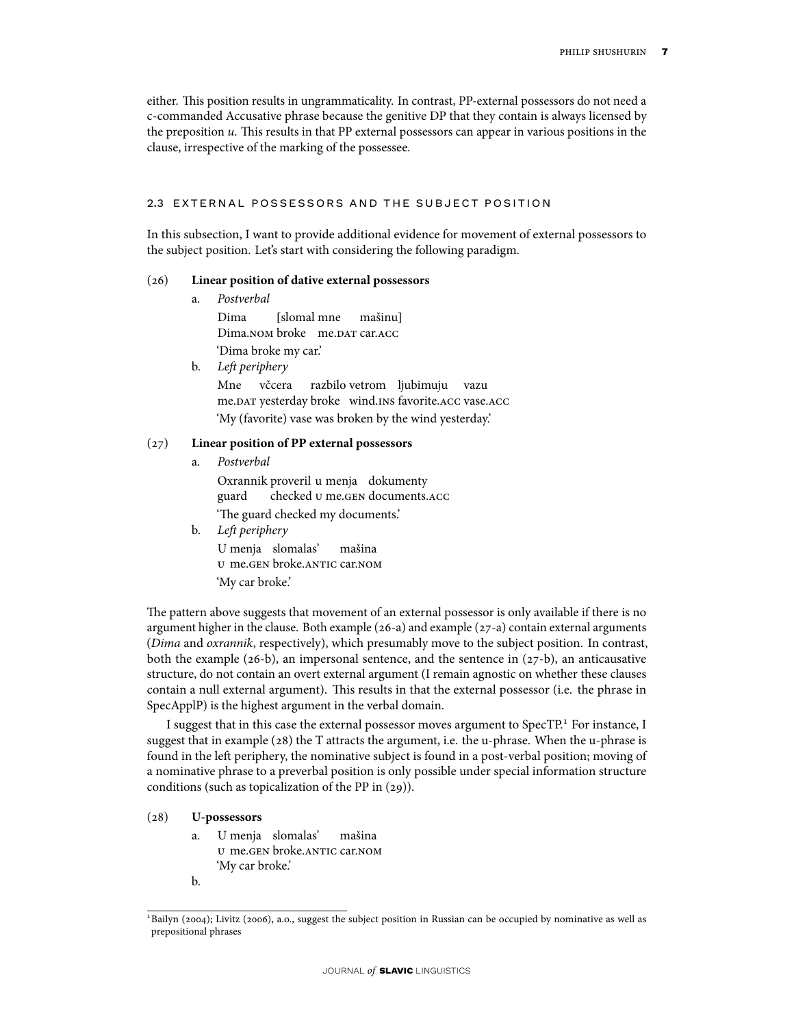either. This position results in ungrammaticality. In contrast, PP-external possessors do not need a c-commanded Accusative phrase because the genitive DP that they contain is always licensed by the preposition  $u$ . This results in that PP external possessors can appear in various positions in the clause, irrespective of the marking of the possessee.

### 2.3 EXTERNAL POSSESSORS AND THE SUBJECT POSITION

In this subsection, I want to provide additional evidence for movement of external possessors to the subject position. Let's start with considering the following paradigm.

### (26) **Linear position of dative external possessors**

- a. Postverbal Dima Dima.nom broke me.dat car.acc [slomal mne mašinu] 'Dima broke my car.'
- b. Left periphery

Mne me.<code>DAT</code> yesterday broke vind.ins favorite.acc vase.acc včcera razbilo vetrom ljubimuju vazu 'My (favorite) vase was broken by the wind yesterday.'

### (27) **Linear position of PP external possessors**

a. Postverbal

Oxrannik proveril u menja dokumenty guard checked u me.gen documents.acc 'The guard checked my documents.' b. Left periphery

U menja slomalas' u me.gen broke.antic car.nom mašina 'My car broke.'

The pattern above suggests that movement of an external possessor is only available if there is no argument higher in the clause. Both example (26-a) and example (27-a) contain external arguments (Dima and oxrannik, respectively), which presumably move to the subject position. In contrast, both the example  $(26-b)$ , an impersonal sentence, and the sentence in  $(27-b)$ , an anticausative structure, do not contain an overt external argument (I remain agnostic on whether these clauses contain a null external argument). This results in that the external possessor (i.e. the phrase in SpecApplP) is the highest argument in the verbal domain.

I suggest that in this case the external possessor moves argument to SpecTP.<sup>1</sup> For instance, I suggest that in example (28) the T attracts the argument, i.e. the u-phrase. When the u-phrase is found in the left periphery, the nominative subject is found in a post-verbal position; moving of a nominative phrase to a preverbal position is only possible under special information structure conditions (such as topicalization of the PP in (29)).

### (28) **U-possessors**

- a. U menja slomalas' u me.gen broke.antic car.nom mašina 'My car broke.'
- b.

<sup>&</sup>lt;sup>1</sup>Bailyn (2004); Livitz (2006), a.o., suggest the subject position in Russian can be occupied by nominative as well as prepositional phrases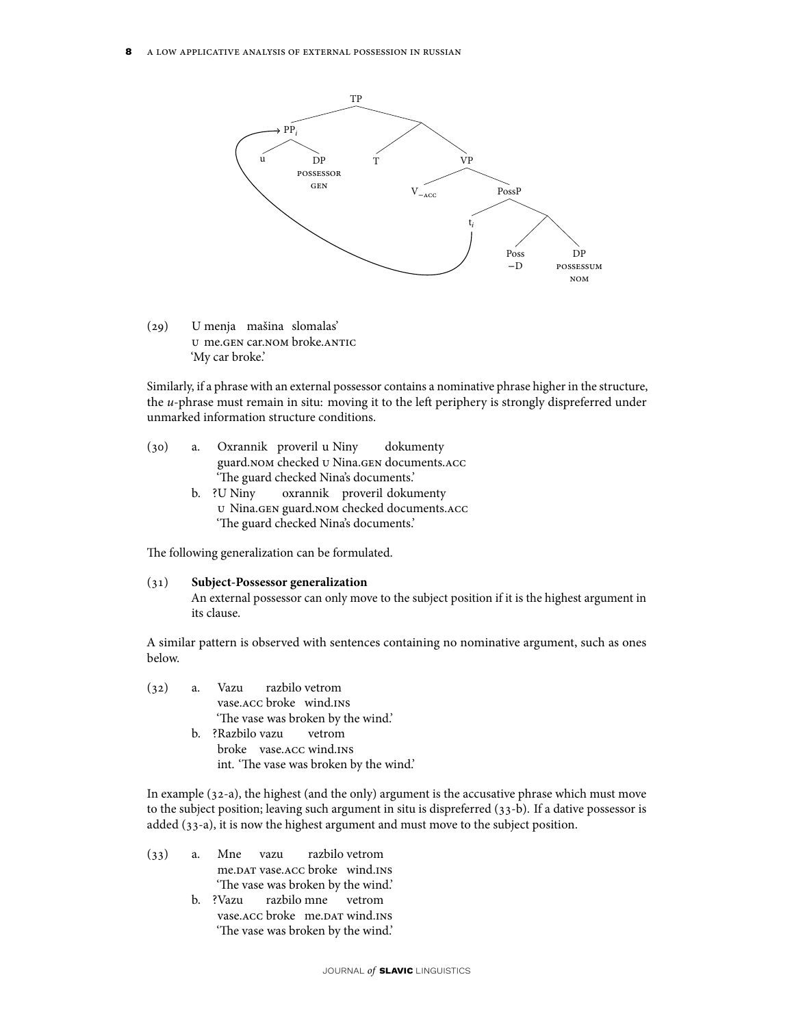

 $(29)$ u me.gen car.nom broke.antic menja mašina slomalas' 'My car broke.'

Similarly, if a phrase with an external possessor contains a nominative phrase higher in the structure, the u-phrase must remain in situ: moving it to the left periphery is strongly dispreferred under unmarked information structure conditions.

| (30) | a. | Oxrannik proveril u Niny dokumenty            |  |
|------|----|-----------------------------------------------|--|
|      |    | guard. NOM checked U Nina. GEN documents. ACC |  |
|      |    | 'The guard checked Nina's documents.'         |  |

b. ?U Niny u Nina.gen guard.nom checked documents.acc oxrannik proveril dokumenty 'The guard checked Nina's documents.'

The following generalization can be formulated.

### (31) **Subject-Possessor generalization**

An external possessor can only move to the subject position if it is the highest argument in its clause.

A similar pattern is observed with sentences containing no nominative argument, such as ones below.

|  | (32) a. Vazu razbilo vetrom             |
|--|-----------------------------------------|
|  | vase. ACC broke wind. INS               |
|  | 'The vase was broken by the wind.'      |
|  | b. ?Razbilo vazu vetrom                 |
|  | broke vase. ACC wind. INS               |
|  | int. 'The vase was broken by the wind.' |

In example (32-a), the highest (and the only) argument is the accusative phrase which must move to the subject position; leaving such argument in situ is dispreferred (33-b). If a dative possessor is added (33-a), it is now the highest argument and must move to the subject position.

- (33) a. Mne vazu me.dat vase.acc broke) wind.ins razbilo vetrom 'The vase was broken by the wind.'
	- b. ?Vazu vase. ACC broke me. DAT wind. INS razbilo mne vetrom 'The vase was broken by the wind.'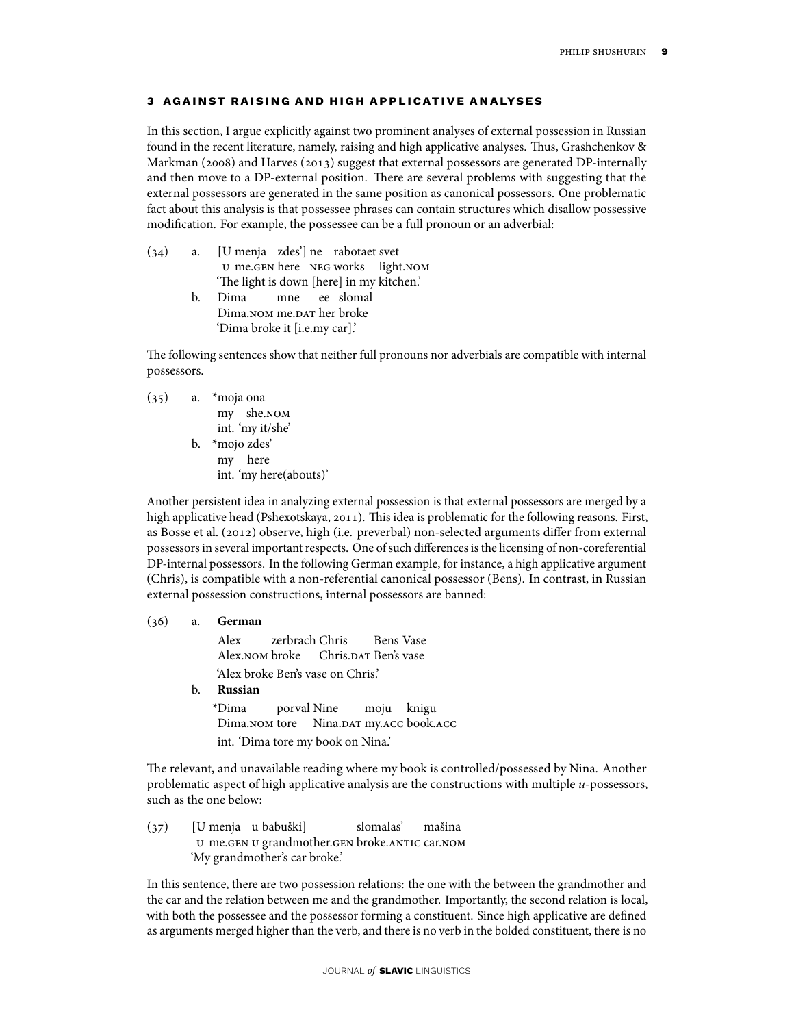### **3** AGAINST RAISING AND HIGH APPLICATIVE ANALYSES

In this section, I argue explicitly against two prominent analyses of external possession in Russian found in the recent literature, namely, raising and high applicative analyses. Thus, Grashchenkov & Markman (2008) and Harves (2013) suggest that external possessors are generated DP-internally and then move to a DP-external position. There are several problems with suggesting that the external possessors are generated in the same position as canonical possessors. One problematic fact about this analysis is that possessee phrases can contain structures which disallow possessive modification. For example, the possessee can be a full pronoun or an adverbial:

| (34) |    | a. [U menja zdes'] ne rabotaet svet       |  |  |  |                                     |
|------|----|-------------------------------------------|--|--|--|-------------------------------------|
|      |    |                                           |  |  |  | U me. GEN here NEG works light. NOM |
|      |    | 'The light is down [here] in my kitchen.' |  |  |  |                                     |
|      | b. | Dima mne ee slomal                        |  |  |  |                                     |
|      |    | Dima.NOM me.DAT her broke                 |  |  |  |                                     |
|      |    | 'Dima broke it [i.e.my car].'             |  |  |  |                                     |

The following sentences show that neither full pronouns nor adverbials are compatible with internal possessors.

(35) a. \*moja ona my she.nom int. 'my it/she' b. \*mojo zdes' my here int. 'my here(abouts)'

Another persistent idea in analyzing external possession is that external possessors are merged by a high applicative head (Pshexotskaya, 2011). This idea is problematic for the following reasons. First, as Bosse et al. (2012) observe, high (i.e. preverbal) non-selected arguments differ from external possessors in several important respects. One of such differences is the licensing of non-coreferential DP-internal possessors. In the following German example, for instance, a high applicative argument (Chris), is compatible with a non-referential canonical possessor (Bens). In contrast, in Russian external possession constructions, internal possessors are banned:

(36) a. **German** Alex Alex.nom broke Chris.dar Ben's vase zerbrach Chris Bens Vase 'Alex broke Ben's vase on Chris.' b. **Russian** \*Dima Dima.nom tore Nina.dat my.acc book.acc porval Nine moju knigu int. 'Dima tore my book on Nina.'

The relevant, and unavailable reading where my book is controlled/possessed by Nina. Another problematic aspect of high applicative analysis are the constructions with multiple u-possessors, such as the one below:

 $(37)$ u me.gen u grandmother.gen broke.antic car.nom menja u babuški] slomalas' mašina 'My grandmother's car broke.'

In this sentence, there are two possession relations: the one with the between the grandmother and the car and the relation between me and the grandmother. Importantly, the second relation is local, with both the possessee and the possessor forming a constituent. Since high applicative are defined as arguments merged higher than the verb, and there is no verb in the bolded constituent, there is no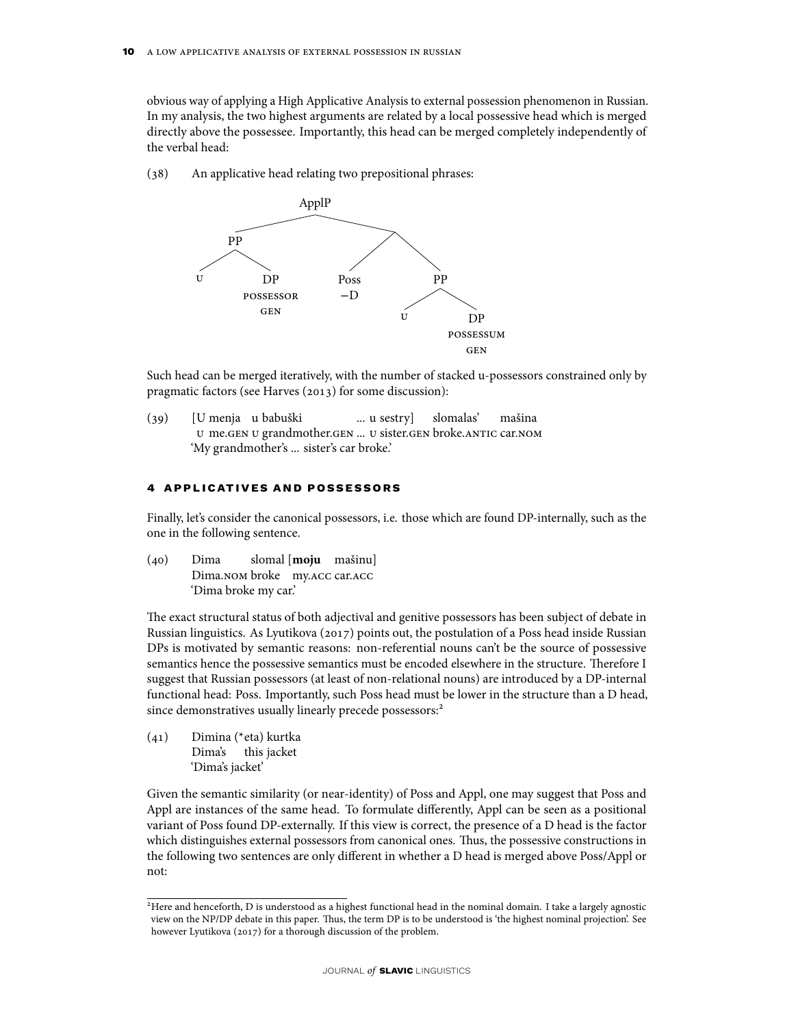obvious way of applying a High Applicative Analysis to external possession phenomenon in Russian. In my analysis, the two highest arguments are related by a local possessive head which is merged directly above the possessee. Importantly, this head can be merged completely independently of the verbal head:

(38) An applicative head relating two prepositional phrases:



Such head can be merged iteratively, with the number of stacked u-possessors constrained only by pragmatic factors (see Harves (2013) for some discussion):

 $(39)$ u me.gen u grandmother.gen ... u sister.gen broke.antic car.nom menja u babuški ... u sestry] slomalas' mašina 'My grandmother's ... sister's car broke.'

### **4** APPLICATIVES AND POSSESSORS

Finally, let's consider the canonical possessors, i.e. those which are found DP-internally, such as the one in the following sentence.

 $(40)$  Dima Dima.nom broke my.acc car.acc slomal [**moju** mašinu] 'Dima broke my car.'

The exact structural status of both adjectival and genitive possessors has been subject of debate in Russian linguistics. As Lyutikova (2017) points out, the postulation of a Poss head inside Russian DPs is motivated by semantic reasons: non-referential nouns can't be the source of possessive semantics hence the possessive semantics must be encoded elsewhere in the structure. Therefore I suggest that Russian possessors (at least of non-relational nouns) are introduced by a DP-internal functional head: Poss. Importantly, such Poss head must be lower in the structure than a D head, since demonstratives usually linearly precede possessors:<sup>2</sup>

(41) Dimina (\*eta) kurtka Dima's this jacket 'Dima's jacket'

Given the semantic similarity (or near-identity) of Poss and Appl, one may suggest that Poss and Appl are instances of the same head. To formulate differently, Appl can be seen as a positional variant of Poss found DP-externally. If this view is correct, the presence of a D head is the factor which distinguishes external possessors from canonical ones. Thus, the possessive constructions in the following two sentences are only different in whether a D head is merged above Poss/Appl or not:

<sup>&</sup>lt;sup>2</sup>Here and henceforth, D is understood as a highest functional head in the nominal domain. I take a largely agnostic view on the NP/DP debate in this paper. Thus, the term DP is to be understood is 'the highest nominal projection'. See however Lyutikova (2017) for a thorough discussion of the problem.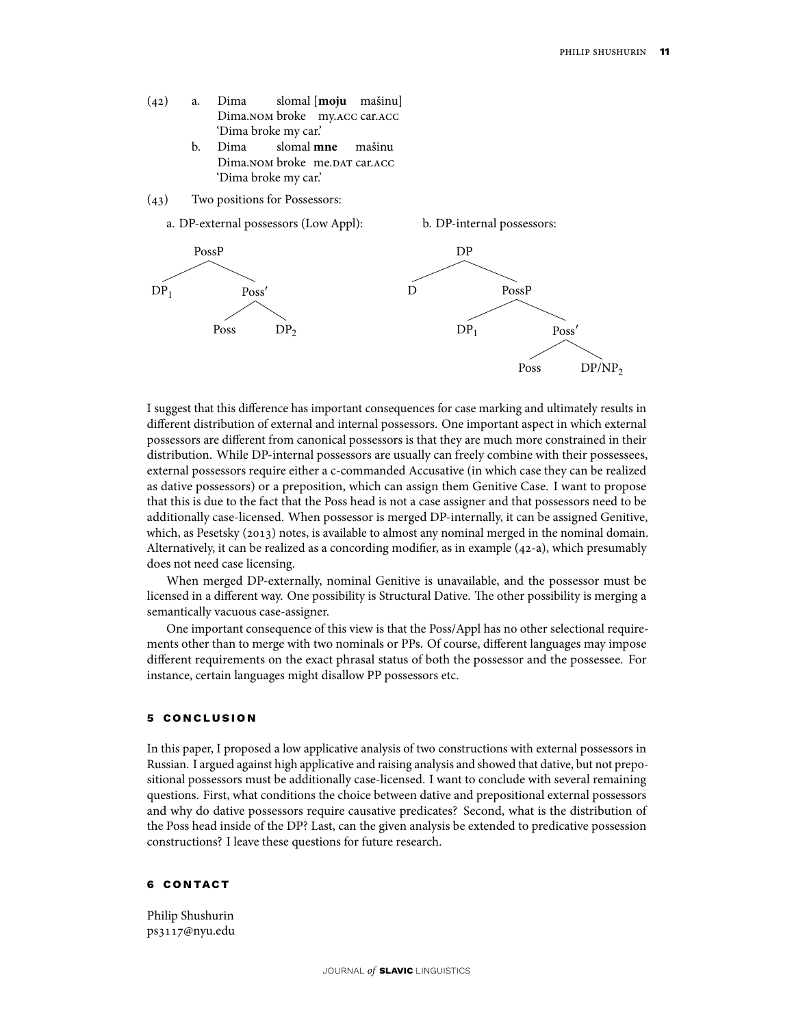- (42) a. Dima Dima.nom broke my.acc car.acc slomal [**moju** mašinu] 'Dima broke my car.'
	- b. Dima Dima.nom broke) me.dat car.acc slomal **mne** mašinu 'Dima broke my car.'
- (43) Two positions for Possessors:



I suggest that this difference has important consequences for case marking and ultimately results in different distribution of external and internal possessors. One important aspect in which external possessors are different from canonical possessors is that they are much more constrained in their distribution. While DP-internal possessors are usually can freely combine with their possessees, external possessors require either a c-commanded Accusative (in which case they can be realized as dative possessors) or a preposition, which can assign them Genitive Case. I want to propose that this is due to the fact that the Poss head is not a case assigner and that possessors need to be additionally case-licensed. When possessor is merged DP-internally, it can be assigned Genitive, which, as Pesetsky (2013) notes, is available to almost any nominal merged in the nominal domain. Alternatively, it can be realized as a concording modifier, as in example (42-a), which presumably does not need case licensing.

When merged DP-externally, nominal Genitive is unavailable, and the possessor must be licensed in a different way. One possibility is Structural Dative. The other possibility is merging a semantically vacuous case-assigner.

One important consequence of this view is that the Poss/Appl has no other selectional requirements other than to merge with two nominals or PPs. Of course, different languages may impose different requirements on the exact phrasal status of both the possessor and the possessee. For instance, certain languages might disallow PP possessors etc.

#### **5 con c lu s ion**

In this paper, I proposed a low applicative analysis of two constructions with external possessors in Russian. I argued against high applicative and raising analysis and showed that dative, but not prepositional possessors must be additionally case-licensed. I want to conclude with several remaining questions. First, what conditions the choice between dative and prepositional external possessors and why do dative possessors require causative predicates? Second, what is the distribution of the Poss head inside of the DP? Last, can the given analysis be extended to predicative possession constructions? I leave these questions for future research.

### **6 con tac t**

Philip Shushurin ps3117@nyu.edu